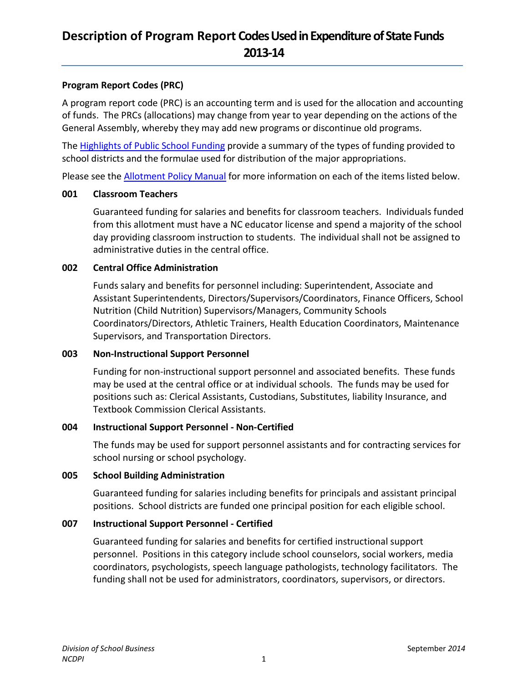## **Program Report Codes (PRC)**

A program report code (PRC) is an accounting term and is used for the allocation and accounting of funds. The PRCs (allocations) may change from year to year depending on the actions of the General Assembly, whereby they may add new programs or discontinue old programs.

The **Highlights of Public School Funding provide a summary of the types of funding provided to** school districts and the formulae used for distribution of the major appropriations.

Please see th[e Allotment Policy Manual](http://www.ncpublicschools.org/fbs/allotments/general/) for more information on each of the items listed below.

### **001 Classroom Teachers**

Guaranteed funding for salaries and benefits for classroom teachers. Individuals funded from this allotment must have a NC educator license and spend a majority of the school day providing classroom instruction to students. The individual shall not be assigned to administrative duties in the central office.

### **002 Central Office Administration**

Funds salary and benefits for personnel including: Superintendent, Associate and Assistant Superintendents, Directors/Supervisors/Coordinators, Finance Officers, School Nutrition (Child Nutrition) Supervisors/Managers, Community Schools Coordinators/Directors, Athletic Trainers, Health Education Coordinators, Maintenance Supervisors, and Transportation Directors.

### **003 Non-Instructional Support Personnel**

Funding for non-instructional support personnel and associated benefits. These funds may be used at the central office or at individual schools. The funds may be used for positions such as: Clerical Assistants, Custodians, Substitutes, liability Insurance, and Textbook Commission Clerical Assistants.

## **004 Instructional Support Personnel - Non-Certified**

The funds may be used for support personnel assistants and for contracting services for school nursing or school psychology.

### **005 School Building Administration**

Guaranteed funding for salaries including benefits for principals and assistant principal positions. School districts are funded one principal position for each eligible school.

### **007 Instructional Support Personnel - Certified**

Guaranteed funding for salaries and benefits for certified instructional support personnel. Positions in this category include school counselors, social workers, media coordinators, psychologists, speech language pathologists, technology facilitators. The funding shall not be used for administrators, coordinators, supervisors, or directors.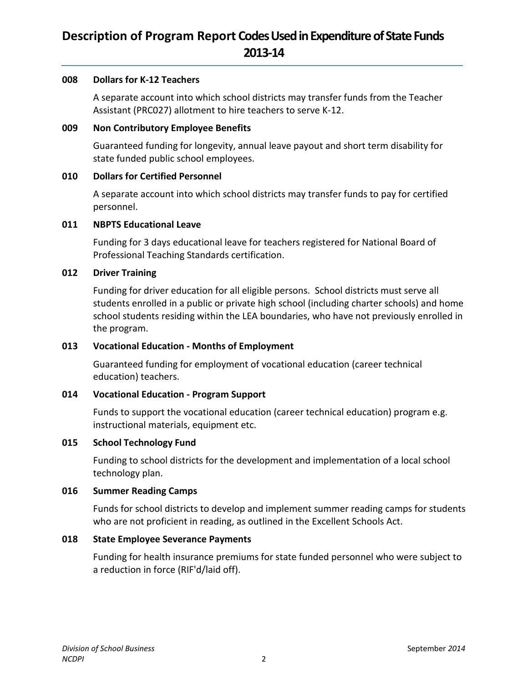### **008 Dollars for K-12 Teachers**

A separate account into which school districts may transfer funds from the Teacher Assistant (PRC027) allotment to hire teachers to serve K-12.

### **009 Non Contributory Employee Benefits**

Guaranteed funding for longevity, annual leave payout and short term disability for state funded public school employees.

### **010 Dollars for Certified Personnel**

A separate account into which school districts may transfer funds to pay for certified personnel.

### **011 NBPTS Educational Leave**

Funding for 3 days educational leave for teachers registered for National Board of Professional Teaching Standards certification.

### **012 Driver Training**

Funding for driver education for all eligible persons. School districts must serve all students enrolled in a public or private high school (including charter schools) and home school students residing within the LEA boundaries, who have not previously enrolled in the program.

## **013 Vocational Education - Months of Employment**

Guaranteed funding for employment of vocational education (career technical education) teachers.

## **014 Vocational Education - Program Support**

Funds to support the vocational education (career technical education) program e.g. instructional materials, equipment etc.

### **015 School Technology Fund**

Funding to school districts for the development and implementation of a local school technology plan.

### **016 Summer Reading Camps**

Funds for school districts to develop and implement summer reading camps for students who are not proficient in reading, as outlined in the Excellent Schools Act.

### **018 State Employee Severance Payments**

Funding for health insurance premiums for state funded personnel who were subject to a reduction in force (RIF'd/laid off).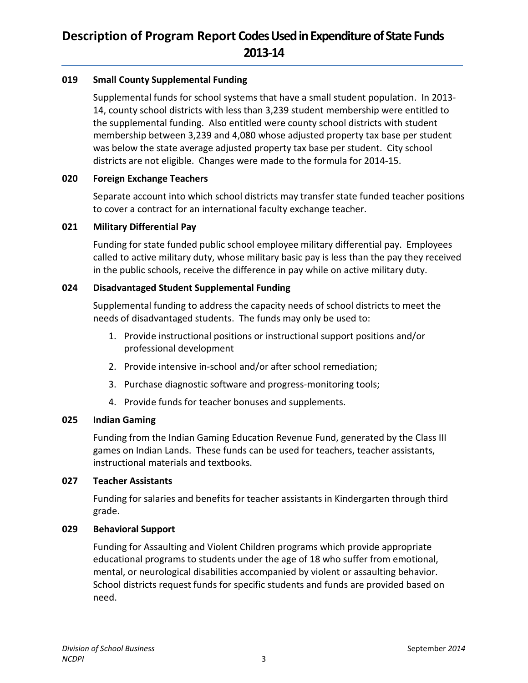## **019 Small County Supplemental Funding**

Supplemental funds for school systems that have a small student population. In 2013- 14, county school districts with less than 3,239 student membership were entitled to the supplemental funding. Also entitled were county school districts with student membership between 3,239 and 4,080 whose adjusted property tax base per student was below the state average adjusted property tax base per student. City school districts are not eligible. Changes were made to the formula for 2014-15.

## **020 Foreign Exchange Teachers**

Separate account into which school districts may transfer state funded teacher positions to cover a contract for an international faculty exchange teacher.

## **021 Military Differential Pay**

Funding for state funded public school employee military differential pay. Employees called to active military duty, whose military basic pay is less than the pay they received in the public schools, receive the difference in pay while on active military duty.

## **024 Disadvantaged Student Supplemental Funding**

Supplemental funding to address the capacity needs of school districts to meet the needs of disadvantaged students. The funds may only be used to:

- 1. Provide instructional positions or instructional support positions and/or professional development
- 2. Provide intensive in-school and/or after school remediation;
- 3. Purchase diagnostic software and progress-monitoring tools;
- 4. Provide funds for teacher bonuses and supplements.

## **025 Indian Gaming**

Funding from the Indian Gaming Education Revenue Fund, generated by the Class III games on Indian Lands. These funds can be used for teachers, teacher assistants, instructional materials and textbooks.

## **027 Teacher Assistants**

Funding for salaries and benefits for teacher assistants in Kindergarten through third grade.

## **029 Behavioral Support**

Funding for Assaulting and Violent Children programs which provide appropriate educational programs to students under the age of 18 who suffer from emotional, mental, or neurological disabilities accompanied by violent or assaulting behavior. School districts request funds for specific students and funds are provided based on need.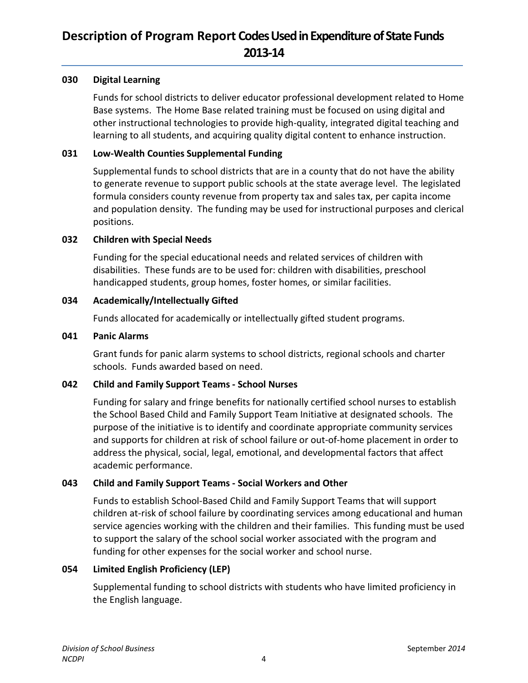### **030 Digital Learning**

Funds for school districts to deliver educator professional development related to Home Base systems. The Home Base related training must be focused on using digital and other instructional technologies to provide high-quality, integrated digital teaching and learning to all students, and acquiring quality digital content to enhance instruction.

### **031 Low-Wealth Counties Supplemental Funding**

Supplemental funds to school districts that are in a county that do not have the ability to generate revenue to support public schools at the state average level. The legislated formula considers county revenue from property tax and sales tax, per capita income and population density. The funding may be used for instructional purposes and clerical positions.

### **032 Children with Special Needs**

Funding for the special educational needs and related services of children with disabilities. These funds are to be used for: children with disabilities, preschool handicapped students, group homes, foster homes, or similar facilities.

### **034 Academically/Intellectually Gifted**

Funds allocated for academically or intellectually gifted student programs.

### **041 Panic Alarms**

Grant funds for panic alarm systems to school districts, regional schools and charter schools. Funds awarded based on need.

## **042 Child and Family Support Teams - School Nurses**

Funding for salary and fringe benefits for nationally certified school nurses to establish the School Based Child and Family Support Team Initiative at designated schools. The purpose of the initiative is to identify and coordinate appropriate community services and supports for children at risk of school failure or out-of-home placement in order to address the physical, social, legal, emotional, and developmental factors that affect academic performance.

## **043 Child and Family Support Teams - Social Workers and Other**

Funds to establish School-Based Child and Family Support Teams that will support children at-risk of school failure by coordinating services among educational and human service agencies working with the children and their families. This funding must be used to support the salary of the school social worker associated with the program and funding for other expenses for the social worker and school nurse.

## **054 Limited English Proficiency (LEP)**

Supplemental funding to school districts with students who have limited proficiency in the English language.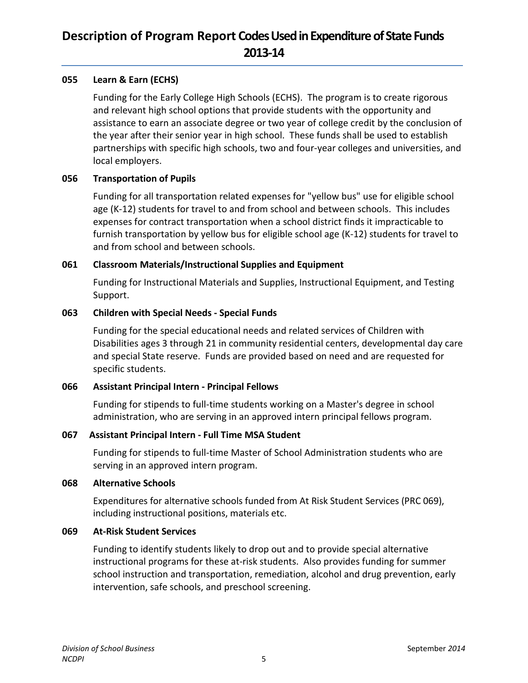## **055 Learn & Earn (ECHS)**

Funding for the Early College High Schools (ECHS). The program is to create rigorous and relevant high school options that provide students with the opportunity and assistance to earn an associate degree or two year of college credit by the conclusion of the year after their senior year in high school. These funds shall be used to establish partnerships with specific high schools, two and four-year colleges and universities, and local employers.

### **056 Transportation of Pupils**

Funding for all transportation related expenses for "yellow bus" use for eligible school age (K-12) students for travel to and from school and between schools. This includes expenses for contract transportation when a school district finds it impracticable to furnish transportation by yellow bus for eligible school age (K-12) students for travel to and from school and between schools.

### **061 Classroom Materials/Instructional Supplies and Equipment**

Funding for Instructional Materials and Supplies, Instructional Equipment, and Testing Support.

### **063 Children with Special Needs - Special Funds**

Funding for the special educational needs and related services of Children with Disabilities ages 3 through 21 in community residential centers, developmental day care and special State reserve. Funds are provided based on need and are requested for specific students.

## **066 Assistant Principal Intern - Principal Fellows**

Funding for stipends to full-time students working on a Master's degree in school administration, who are serving in an approved intern principal fellows program.

### **067 Assistant Principal Intern - Full Time MSA Student**

Funding for stipends to full-time Master of School Administration students who are serving in an approved intern program.

### **068 Alternative Schools**

Expenditures for alternative schools funded from At Risk Student Services (PRC 069), including instructional positions, materials etc.

### **069 At-Risk Student Services**

Funding to identify students likely to drop out and to provide special alternative instructional programs for these at-risk students. Also provides funding for summer school instruction and transportation, remediation, alcohol and drug prevention, early intervention, safe schools, and preschool screening.